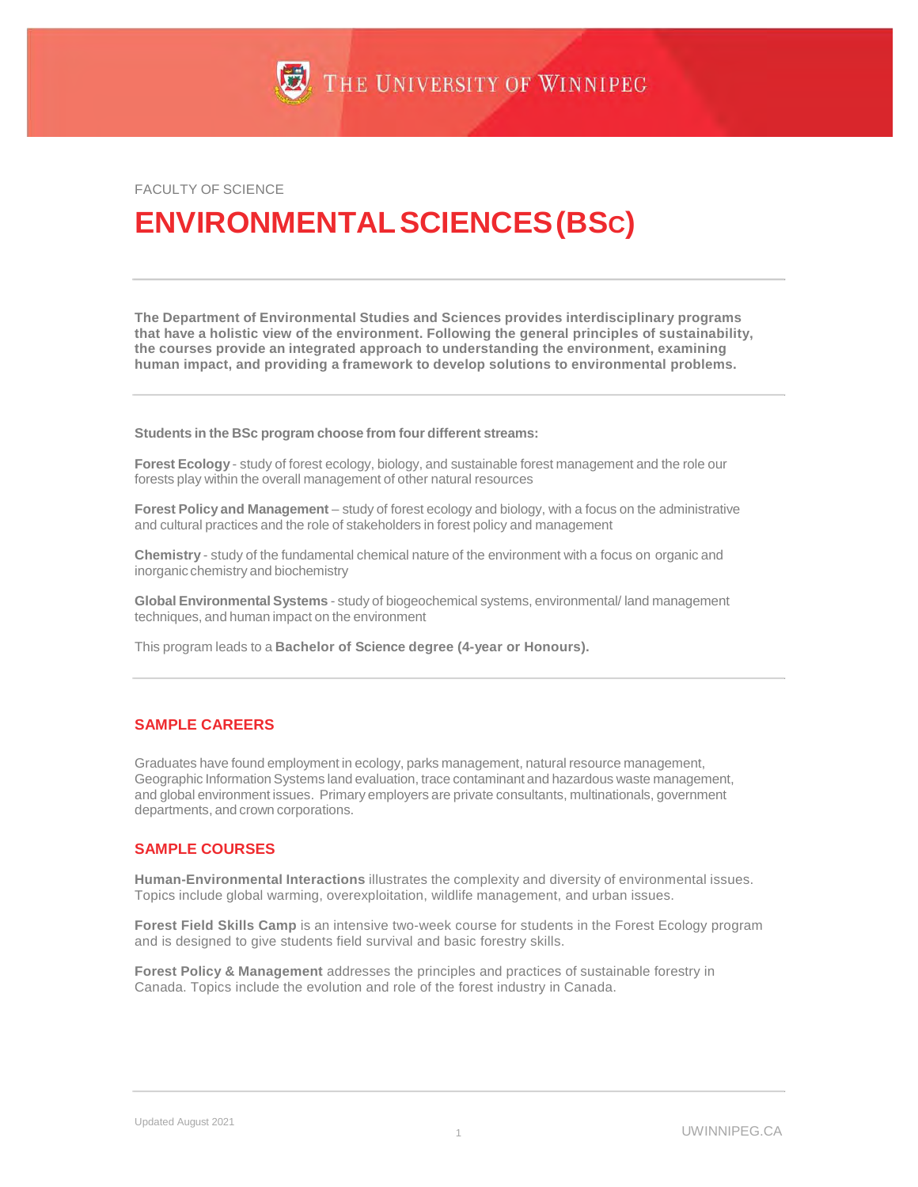FACULTY OF SCIENCE

# **ENVIRONMENTALSCIENCES(BSC)**

**The Department of Environmental Studies and Sciences provides interdisciplinary programs that have a holistic view of the environment. Following the general principles of sustainability, the courses provide an integrated approach to understanding the environment, examining human impact, and providing a framework to develop solutions to environmental problems.**

**Students in the BSc program choose from four different streams:**

**Forest Ecology** - study of forest ecology, biology, and sustainable forest management and the role our forests play within the overall management of other natural resources

**Forest Policy and Management** – study of forest ecology and biology, with a focus on the administrative and cultural practices and the role of stakeholders in forest policy and management

**Chemistry** - study of the fundamental chemical nature of the environment with a focus on organic and inorganic chemistry and biochemistry

**Global Environmental Systems** - study of biogeochemical systems, environmental/ land management techniques, and human impact on the environment

This program leads to a **Bachelor of Science degree (4-year or Honours).**

### **SAMPLE CAREERS**

Graduates have found employment in ecology, parks management, natural resource management, Geographic Information Systems land evaluation, trace contaminant and hazardous waste management, and global environment issues. Primary employers are private consultants, multinationals, government departments, and crown corporations.

### **SAMPLE COURSES**

**Human-Environmental Interactions** illustrates the complexity and diversity of environmental issues. Topics include global warming, overexploitation, wildlife management, and urban issues.

**Forest Field Skills Camp** is an intensive two-week course for students in the Forest Ecology program and is designed to give students field survival and basic forestry skills.

**Forest Policy & Management** addresses the principles and practices of sustainable forestry in Canada. Topics include the evolution and role of the forest industry in Canada.